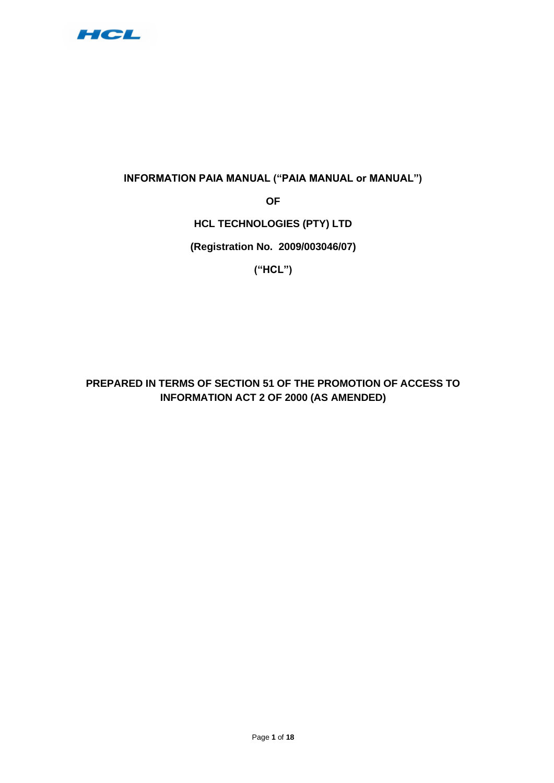

## **INFORMATION PAIA MANUAL ("PAIA MANUAL or MANUAL")**

**OF** 

## **HCL TECHNOLOGIES (PTY) LTD**

**(Registration No. 2009/003046/07)**

**("HCL")**

**PREPARED IN TERMS OF SECTION 51 OF THE PROMOTION OF ACCESS TO INFORMATION ACT 2 OF 2000 (AS AMENDED)**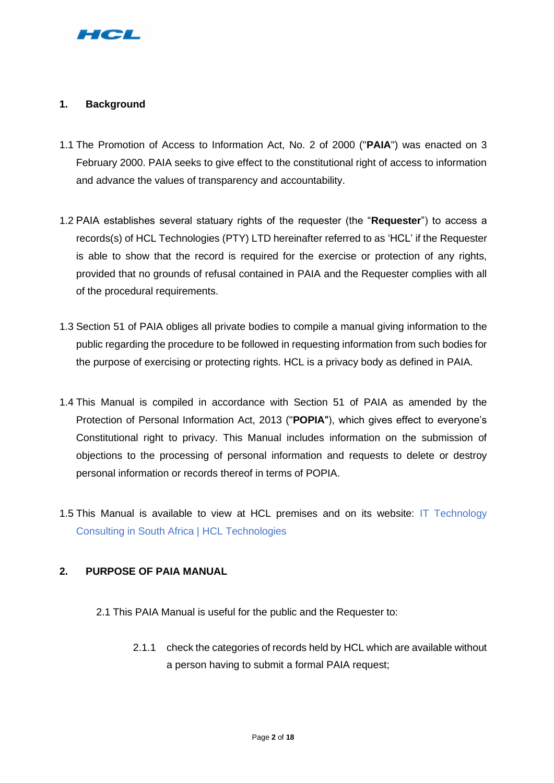

## **1. Background**

- 1.1 The Promotion of Access to Information Act, No. 2 of 2000 ("**PAIA**") was enacted on 3 February 2000. PAIA seeks to give effect to the constitutional right of access to information and advance the values of transparency and accountability.
- 1.2 PAIA establishes several statuary rights of the requester (the "**Requester**") to access a records(s) of HCL Technologies (PTY) LTD hereinafter referred to as 'HCL' if the Requester is able to show that the record is required for the exercise or protection of any rights, provided that no grounds of refusal contained in PAIA and the Requester complies with all of the procedural requirements.
- 1.3 Section 51 of PAIA obliges all private bodies to compile a manual giving information to the public regarding the procedure to be followed in requesting information from such bodies for the purpose of exercising or protecting rights. HCL is a privacy body as defined in PAIA.
- 1.4 This Manual is compiled in accordance with Section 51 of PAIA as amended by the Protection of Personal Information Act, 2013 ("**POPIA**"), which gives effect to everyone's Constitutional right to privacy. This Manual includes information on the submission of objections to the processing of personal information and requests to delete or destroy personal information or records thereof in terms of POPIA.
- 1.5 This Manual is available to view at HCL premises and on its website: [IT Technology](https://www.hcltech.com/geo-presence/africa)  [Consulting in South Africa | HCL Technologies](https://www.hcltech.com/geo-presence/africa)

### **2. PURPOSE OF PAIA MANUAL**

- 2.1 This PAIA Manual is useful for the public and the Requester to:
	- 2.1.1 check the categories of records held by HCL which are available without a person having to submit a formal PAIA request;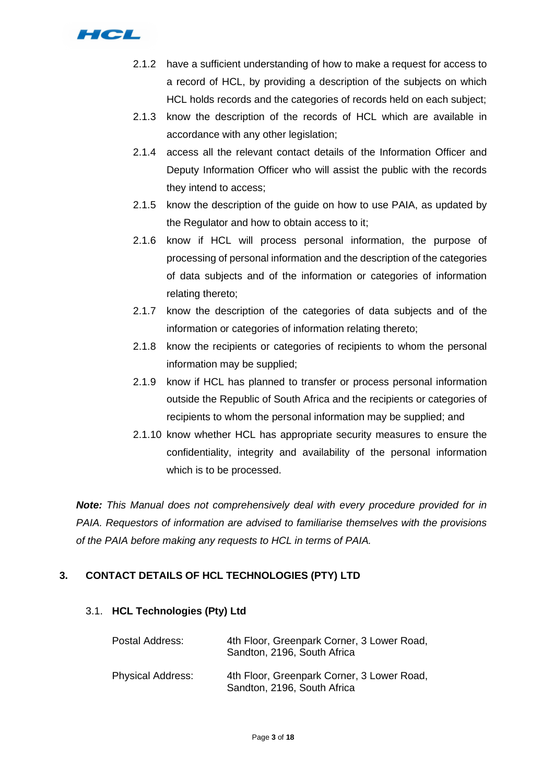

- 2.1.2 have a sufficient understanding of how to make a request for access to a record of HCL, by providing a description of the subjects on which HCL holds records and the categories of records held on each subject;
- 2.1.3 know the description of the records of HCL which are available in accordance with any other legislation;
- 2.1.4 access all the relevant contact details of the Information Officer and Deputy Information Officer who will assist the public with the records they intend to access;
- 2.1.5 know the description of the guide on how to use PAIA, as updated by the Regulator and how to obtain access to it;
- 2.1.6 know if HCL will process personal information, the purpose of processing of personal information and the description of the categories of data subjects and of the information or categories of information relating thereto;
- 2.1.7 know the description of the categories of data subjects and of the information or categories of information relating thereto;
- 2.1.8 know the recipients or categories of recipients to whom the personal information may be supplied;
- 2.1.9 know if HCL has planned to transfer or process personal information outside the Republic of South Africa and the recipients or categories of recipients to whom the personal information may be supplied; and
- 2.1.10 know whether HCL has appropriate security measures to ensure the confidentiality, integrity and availability of the personal information which is to be processed.

*Note: This Manual does not comprehensively deal with every procedure provided for in PAIA. Requestors of information are advised to familiarise themselves with the provisions of the PAIA before making any requests to HCL in terms of PAIA.*

## **3. CONTACT DETAILS OF HCL TECHNOLOGIES (PTY) LTD**

### 3.1. **HCL Technologies (Pty) Ltd**

| Postal Address:          | 4th Floor, Greenpark Corner, 3 Lower Road,<br>Sandton, 2196, South Africa |
|--------------------------|---------------------------------------------------------------------------|
| <b>Physical Address:</b> | 4th Floor, Greenpark Corner, 3 Lower Road,<br>Sandton, 2196, South Africa |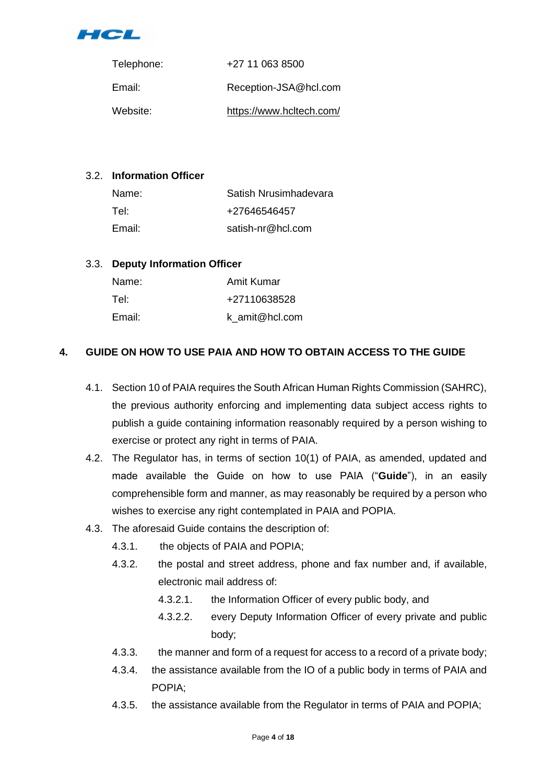

| Telephone: | +27 11 063 8500          |
|------------|--------------------------|
| Email:     | Reception-JSA@hcl.com    |
| Website:   | https://www.hcltech.com/ |

## 3.2. **Information Officer**

| Name:  | Satish Nrusimhadevara |
|--------|-----------------------|
| Tel:   | +27646546457          |
| Email: | satish-nr@hcl.com     |

## 3.3. **Deputy Information Officer**

| Name:  | Amit Kumar     |
|--------|----------------|
| Tel:   | +27110638528   |
| Email: | k amit@hcl.com |

## **4. GUIDE ON HOW TO USE PAIA AND HOW TO OBTAIN ACCESS TO THE GUIDE**

- 4.1. Section 10 of PAIA requires the South African Human Rights Commission (SAHRC), the previous authority enforcing and implementing data subject access rights to publish a guide containing information reasonably required by a person wishing to exercise or protect any right in terms of PAIA.
- 4.2. The Regulator has, in terms of section 10(1) of PAIA, as amended, updated and made available the Guide on how to use PAIA ("**Guide**"), in an easily comprehensible form and manner, as may reasonably be required by a person who wishes to exercise any right contemplated in PAIA and POPIA.
- 4.3. The aforesaid Guide contains the description of:
	- 4.3.1. the objects of PAIA and POPIA;
	- 4.3.2. the postal and street address, phone and fax number and, if available, electronic mail address of:
		- 4.3.2.1. the Information Officer of every public body, and
		- 4.3.2.2. every Deputy Information Officer of every private and public body;
	- 4.3.3. the manner and form of a request for access to a record of a private body;
	- 4.3.4. the assistance available from the IO of a public body in terms of PAIA and POPIA;
	- 4.3.5. the assistance available from the Regulator in terms of PAIA and POPIA;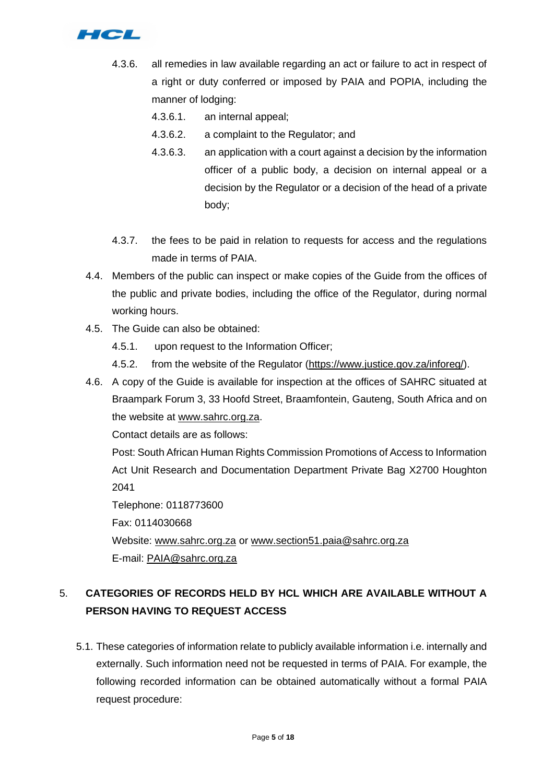

- 4.3.6. all remedies in law available regarding an act or failure to act in respect of a right or duty conferred or imposed by PAIA and POPIA, including the manner of lodging:
	- 4.3.6.1. an internal appeal;
	- 4.3.6.2. a complaint to the Regulator; and
	- 4.3.6.3. an application with a court against a decision by the information officer of a public body, a decision on internal appeal or a decision by the Regulator or a decision of the head of a private body;
- 4.3.7. the fees to be paid in relation to requests for access and the regulations made in terms of PAIA.
- 4.4. Members of the public can inspect or make copies of the Guide from the offices of the public and private bodies, including the office of the Regulator, during normal working hours.
- 4.5. The Guide can also be obtained:
	- 4.5.1. upon request to the Information Officer;
	- 4.5.2. from the website of the Regulator [\(https://www.justice.gov.za/inforeg/\)](https://www.justice.gov.za/inforeg/).
- 4.6. A copy of the Guide is available for inspection at the offices of SAHRC situated at Braampark Forum 3, 33 Hoofd Street, Braamfontein, Gauteng, South Africa and on the website at [www.sahrc.org.za.](http://www.sahrc.org.za/)

Contact details are as follows:

Post: South African Human Rights Commission Promotions of Access to Information Act Unit Research and Documentation Department Private Bag X2700 Houghton 2041

Telephone: 0118773600 Fax: 0114030668 Website: [www.sahrc.org.za](http://www.sahrc.org.za/) or [www.section51.paia@sahrc.org.za](http://www.section51.paia@sahrc.org.za)  E-mail: [PAIA@sahrc.org.za](mailto:PAIA@sahrc.org.za)

# 5. **CATEGORIES OF RECORDS HELD BY HCL WHICH ARE AVAILABLE WITHOUT A PERSON HAVING TO REQUEST ACCESS**

5.1. These categories of information relate to publicly available information i.e. internally and externally. Such information need not be requested in terms of PAIA. For example, the following recorded information can be obtained automatically without a formal PAIA request procedure: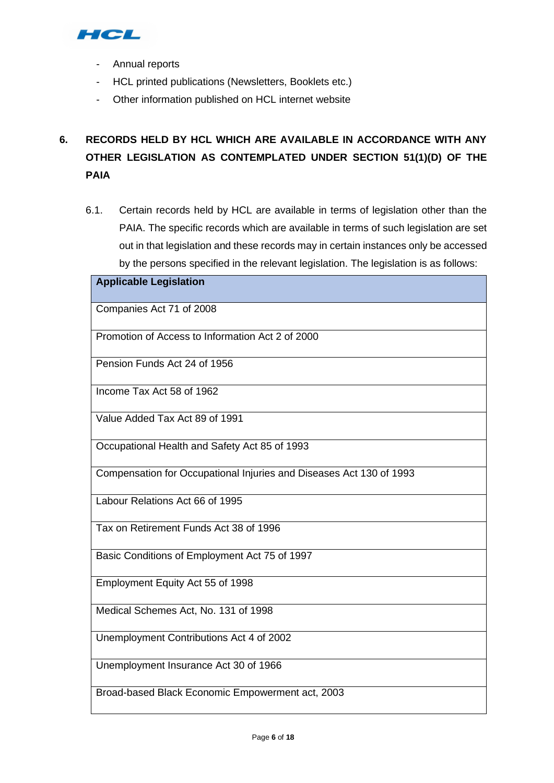

- Annual reports
- HCL printed publications (Newsletters, Booklets etc.)
- Other information published on HCL internet website

# **6. RECORDS HELD BY HCL WHICH ARE AVAILABLE IN ACCORDANCE WITH ANY OTHER LEGISLATION AS CONTEMPLATED UNDER SECTION 51(1)(D) OF THE PAIA**

6.1. Certain records held by HCL are available in terms of legislation other than the PAIA. The specific records which are available in terms of such legislation are set out in that legislation and these records may in certain instances only be accessed by the persons specified in the relevant legislation. The legislation is as follows:

| <b>Applicable Legislation</b>                                       |
|---------------------------------------------------------------------|
|                                                                     |
| Companies Act 71 of 2008                                            |
| Promotion of Access to Information Act 2 of 2000                    |
| Pension Funds Act 24 of 1956                                        |
| Income Tax Act 58 of 1962                                           |
| Value Added Tax Act 89 of 1991                                      |
| Occupational Health and Safety Act 85 of 1993                       |
| Compensation for Occupational Injuries and Diseases Act 130 of 1993 |
| Labour Relations Act 66 of 1995                                     |
| Tax on Retirement Funds Act 38 of 1996                              |
| Basic Conditions of Employment Act 75 of 1997                       |
| Employment Equity Act 55 of 1998                                    |
| Medical Schemes Act, No. 131 of 1998                                |
| Unemployment Contributions Act 4 of 2002                            |
| Unemployment Insurance Act 30 of 1966                               |
| Broad-based Black Economic Empowerment act, 2003                    |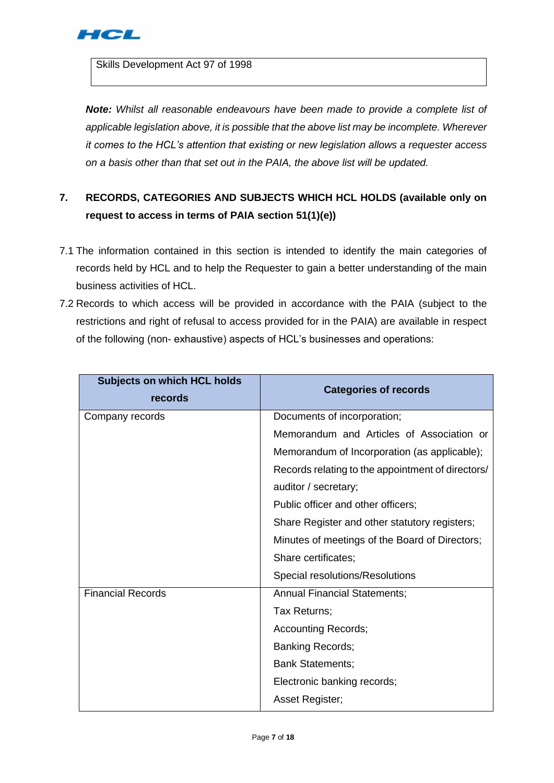

Skills Development Act 97 of 1998

*Note: Whilst all reasonable endeavours have been made to provide a complete list of applicable legislation above, it is possible that the above list may be incomplete. Wherever it comes to the HCL's attention that existing or new legislation allows a requester access on a basis other than that set out in the PAIA, the above list will be updated.*

# **7. RECORDS, CATEGORIES AND SUBJECTS WHICH HCL HOLDS (available only on request to access in terms of PAIA section 51(1)(e))**

- 7.1 The information contained in this section is intended to identify the main categories of records held by HCL and to help the Requester to gain a better understanding of the main business activities of HCL.
- 7.2 Records to which access will be provided in accordance with the PAIA (subject to the restrictions and right of refusal to access provided for in the PAIA) are available in respect of the following (non- exhaustive) aspects of HCL's businesses and operations:

| <b>Subjects on which HCL holds</b><br>records | <b>Categories of records</b>                      |
|-----------------------------------------------|---------------------------------------------------|
| Company records                               | Documents of incorporation;                       |
|                                               | Memorandum and Articles of Association or         |
|                                               | Memorandum of Incorporation (as applicable);      |
|                                               | Records relating to the appointment of directors/ |
|                                               | auditor / secretary;                              |
|                                               | Public officer and other officers;                |
|                                               | Share Register and other statutory registers;     |
|                                               | Minutes of meetings of the Board of Directors;    |
|                                               | Share certificates;                               |
|                                               | Special resolutions/Resolutions                   |
| <b>Financial Records</b>                      | <b>Annual Financial Statements;</b>               |
|                                               | Tax Returns;                                      |
|                                               | <b>Accounting Records;</b>                        |
|                                               | <b>Banking Records;</b>                           |
|                                               | <b>Bank Statements;</b>                           |
|                                               | Electronic banking records;                       |
|                                               | Asset Register;                                   |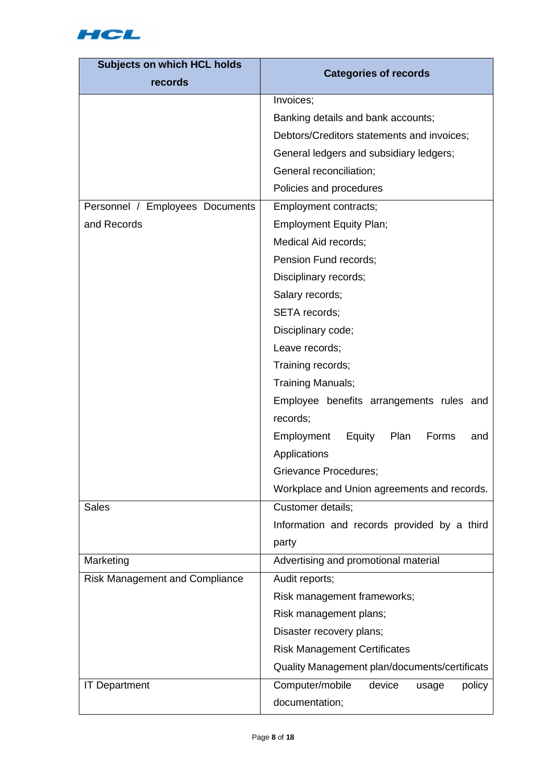

| <b>Subjects on which HCL holds</b><br>records | <b>Categories of records</b>                         |
|-----------------------------------------------|------------------------------------------------------|
|                                               | Invoices;                                            |
|                                               | Banking details and bank accounts;                   |
|                                               | Debtors/Creditors statements and invoices;           |
|                                               | General ledgers and subsidiary ledgers;              |
|                                               | General reconciliation;                              |
|                                               | Policies and procedures                              |
| Personnel / Employees Documents               | Employment contracts;                                |
| and Records                                   | <b>Employment Equity Plan;</b>                       |
|                                               | Medical Aid records;                                 |
|                                               | Pension Fund records;                                |
|                                               | Disciplinary records;                                |
|                                               | Salary records;                                      |
|                                               | SETA records;                                        |
|                                               | Disciplinary code;                                   |
|                                               | Leave records;                                       |
|                                               | Training records;                                    |
|                                               | Training Manuals;                                    |
|                                               | Employee benefits arrangements rules and<br>records; |
|                                               | Employment<br>Equity<br>Plan<br>Forms<br>and         |
|                                               | Applications                                         |
|                                               | Grievance Procedures;                                |
|                                               | Workplace and Union agreements and records.          |
| <b>Sales</b>                                  | Customer details;                                    |
|                                               |                                                      |
|                                               | Information and records provided by a third          |
|                                               | party                                                |
| Marketing                                     | Advertising and promotional material                 |
| Risk Management and Compliance                | Audit reports;                                       |
|                                               | Risk management frameworks;                          |
|                                               | Risk management plans;                               |
|                                               | Disaster recovery plans;                             |
|                                               | <b>Risk Management Certificates</b>                  |
|                                               | Quality Management plan/documents/certificats        |
| <b>IT Department</b>                          | Computer/mobile<br>device<br>policy<br>usage         |
|                                               | documentation;                                       |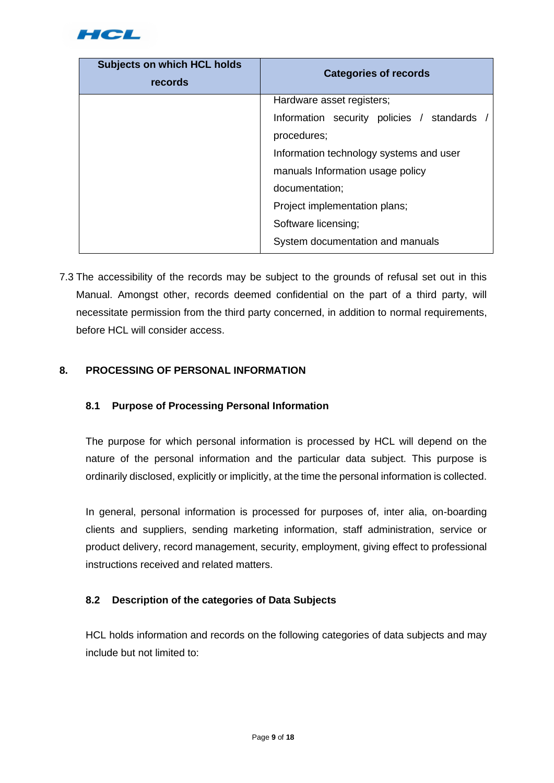

| <b>Subjects on which HCL holds</b><br>records | <b>Categories of records</b>              |
|-----------------------------------------------|-------------------------------------------|
|                                               | Hardware asset registers;                 |
|                                               | Information security policies / standards |
|                                               | procedures;                               |
|                                               | Information technology systems and user   |
|                                               | manuals Information usage policy          |
|                                               | documentation;                            |
|                                               | Project implementation plans;             |
|                                               | Software licensing;                       |
|                                               | System documentation and manuals          |

7.3 The accessibility of the records may be subject to the grounds of refusal set out in this Manual. Amongst other, records deemed confidential on the part of a third party, will necessitate permission from the third party concerned, in addition to normal requirements, before HCL will consider access.

## **8. PROCESSING OF PERSONAL INFORMATION**

### **8.1 Purpose of Processing Personal Information**

The purpose for which personal information is processed by HCL will depend on the nature of the personal information and the particular data subject. This purpose is ordinarily disclosed, explicitly or implicitly, at the time the personal information is collected.

In general, personal information is processed for purposes of, inter alia, on-boarding clients and suppliers, sending marketing information, staff administration, service or product delivery, record management, security, employment, giving effect to professional instructions received and related matters.

### **8.2 Description of the categories of Data Subjects**

HCL holds information and records on the following categories of data subjects and may include but not limited to: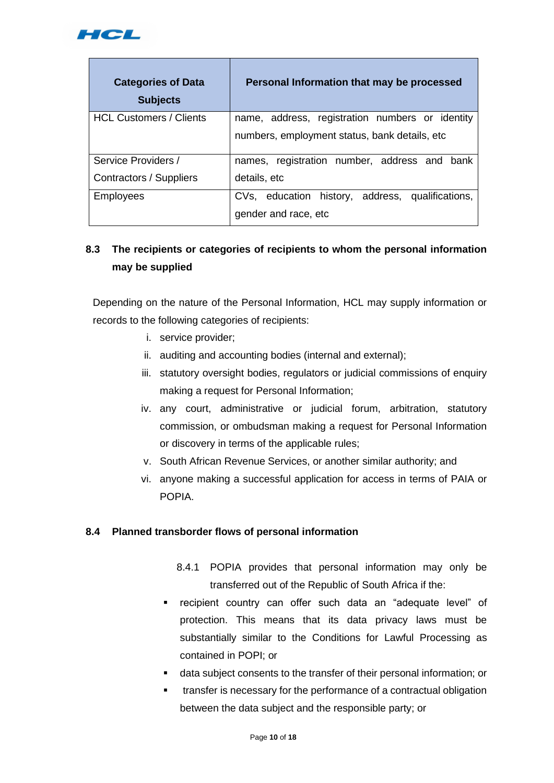

| <b>Categories of Data</b><br><b>Subjects</b> | Personal Information that may be processed       |
|----------------------------------------------|--------------------------------------------------|
| <b>HCL Customers / Clients</b>               | name, address, registration numbers or identity  |
|                                              | numbers, employment status, bank details, etc.   |
| Service Providers /                          | names, registration number, address and bank     |
| Contractors / Suppliers                      | details, etc                                     |
| <b>Employees</b>                             | CVs, education history, address, qualifications, |
|                                              | gender and race, etc                             |

## **8.3 The recipients or categories of recipients to whom the personal information may be supplied**

Depending on the nature of the Personal Information, HCL may supply information or records to the following categories of recipients:

- i. service provider;
- ii. auditing and accounting bodies (internal and external);
- iii. statutory oversight bodies, regulators or judicial commissions of enquiry making a request for Personal Information;
- iv. any court, administrative or judicial forum, arbitration, statutory commission, or ombudsman making a request for Personal Information or discovery in terms of the applicable rules;
- v. South African Revenue Services, or another similar authority; and
- vi. anyone making a successful application for access in terms of PAIA or POPIA.

### **8.4 Planned transborder flows of personal information**

- 8.4.1 POPIA provides that personal information may only be transferred out of the Republic of South Africa if the:
- recipient country can offer such data an "adequate level" of protection. This means that its data privacy laws must be substantially similar to the Conditions for Lawful Processing as contained in POPI; or
- data subject consents to the transfer of their personal information; or
- transfer is necessary for the performance of a contractual obligation between the data subject and the responsible party; or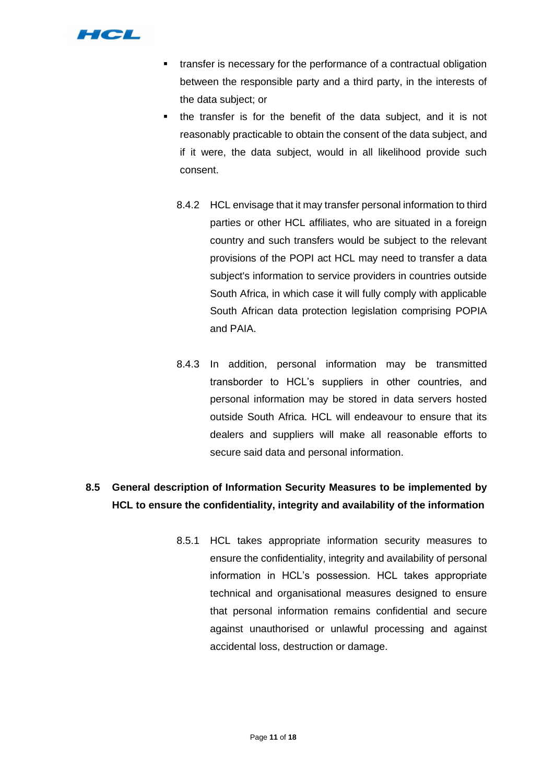

- transfer is necessary for the performance of a contractual obligation between the responsible party and a third party, in the interests of the data subject; or
- **.** the transfer is for the benefit of the data subject, and it is not reasonably practicable to obtain the consent of the data subject, and if it were, the data subject, would in all likelihood provide such consent.
	- 8.4.2 HCL envisage that it may transfer personal information to third parties or other HCL affiliates, who are situated in a foreign country and such transfers would be subject to the relevant provisions of the POPI act HCL may need to transfer a data subject's information to service providers in countries outside South Africa, in which case it will fully comply with applicable South African data protection legislation comprising POPIA and PAIA.
	- 8.4.3 In addition, personal information may be transmitted transborder to HCL's suppliers in other countries, and personal information may be stored in data servers hosted outside South Africa. HCL will endeavour to ensure that its dealers and suppliers will make all reasonable efforts to secure said data and personal information.

## **8.5 General description of Information Security Measures to be implemented by HCL to ensure the confidentiality, integrity and availability of the information**

8.5.1 HCL takes appropriate information security measures to ensure the confidentiality, integrity and availability of personal information in HCL's possession. HCL takes appropriate technical and organisational measures designed to ensure that personal information remains confidential and secure against unauthorised or unlawful processing and against accidental loss, destruction or damage.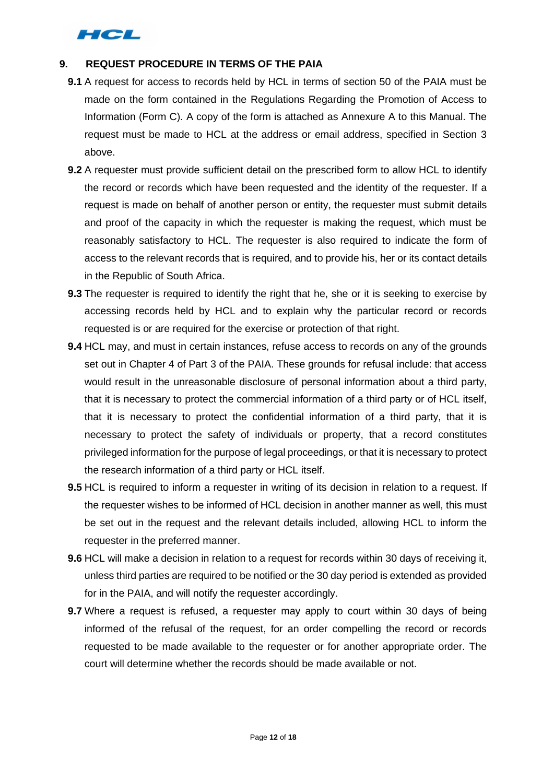

## **9. REQUEST PROCEDURE IN TERMS OF THE PAIA**

- **9.1** A request for access to records held by HCL in terms of section 50 of the PAIA must be made on the form contained in the Regulations Regarding the Promotion of Access to Information (Form C). A copy of the form is attached as Annexure A to this Manual. The request must be made to HCL at the address or email address, specified in Section 3 above.
- **9.2** A requester must provide sufficient detail on the prescribed form to allow HCL to identify the record or records which have been requested and the identity of the requester. If a request is made on behalf of another person or entity, the requester must submit details and proof of the capacity in which the requester is making the request, which must be reasonably satisfactory to HCL. The requester is also required to indicate the form of access to the relevant records that is required, and to provide his, her or its contact details in the Republic of South Africa.
- **9.3** The requester is required to identify the right that he, she or it is seeking to exercise by accessing records held by HCL and to explain why the particular record or records requested is or are required for the exercise or protection of that right.
- **9.4** HCL may, and must in certain instances, refuse access to records on any of the grounds set out in Chapter 4 of Part 3 of the PAIA. These grounds for refusal include: that access would result in the unreasonable disclosure of personal information about a third party, that it is necessary to protect the commercial information of a third party or of HCL itself, that it is necessary to protect the confidential information of a third party, that it is necessary to protect the safety of individuals or property, that a record constitutes privileged information for the purpose of legal proceedings, or that it is necessary to protect the research information of a third party or HCL itself.
- **9.5** HCL is required to inform a requester in writing of its decision in relation to a request. If the requester wishes to be informed of HCL decision in another manner as well, this must be set out in the request and the relevant details included, allowing HCL to inform the requester in the preferred manner.
- **9.6** HCL will make a decision in relation to a request for records within 30 days of receiving it, unless third parties are required to be notified or the 30 day period is extended as provided for in the PAIA, and will notify the requester accordingly.
- **9.7** Where a request is refused, a requester may apply to court within 30 days of being informed of the refusal of the request, for an order compelling the record or records requested to be made available to the requester or for another appropriate order. The court will determine whether the records should be made available or not.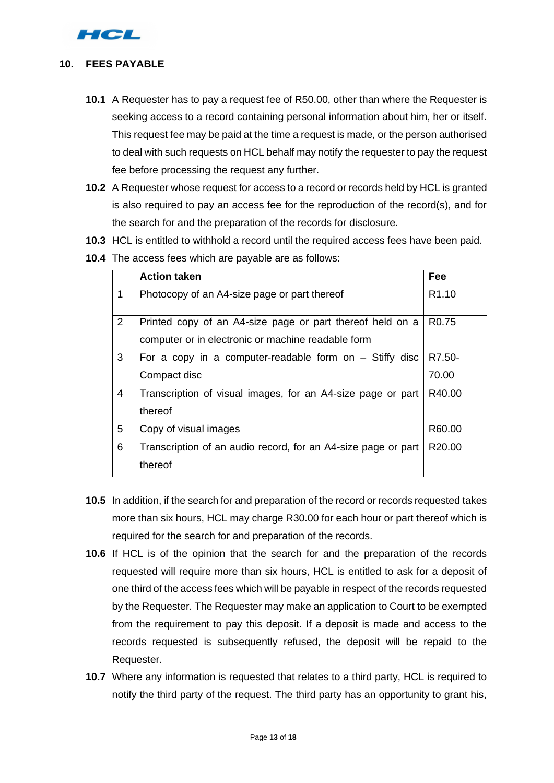

#### **10. FEES PAYABLE**

- **10.1** A Requester has to pay a request fee of R50.00, other than where the Requester is seeking access to a record containing personal information about him, her or itself. This request fee may be paid at the time a request is made, or the person authorised to deal with such requests on HCL behalf may notify the requester to pay the request fee before processing the request any further.
- **10.2** A Requester whose request for access to a record or records held by HCL is granted is also required to pay an access fee for the reproduction of the record(s), and for the search for and the preparation of the records for disclosure.
- **10.3** HCL is entitled to withhold a record until the required access fees have been paid.
- **10.4** The access fees which are payable are as follows:

|                | <b>Action taken</b>                                           | Fee               |
|----------------|---------------------------------------------------------------|-------------------|
| 1              | Photocopy of an A4-size page or part thereof                  | R <sub>1.10</sub> |
| $\overline{2}$ | Printed copy of an A4-size page or part thereof held on a     | R <sub>0.75</sub> |
|                | computer or in electronic or machine readable form            |                   |
| 3              | For a copy in a computer-readable form on $-$ Stiffy disc     | R7.50-            |
|                | Compact disc                                                  | 70.00             |
| $\overline{4}$ | Transcription of visual images, for an A4-size page or part   | R40.00            |
|                | thereof                                                       |                   |
| 5              | Copy of visual images                                         | R60.00            |
| 6              | Transcription of an audio record, for an A4-size page or part | R20.00            |
|                | thereof                                                       |                   |

- **10.5** In addition, if the search for and preparation of the record or records requested takes more than six hours, HCL may charge R30.00 for each hour or part thereof which is required for the search for and preparation of the records.
- **10.6** If HCL is of the opinion that the search for and the preparation of the records requested will require more than six hours, HCL is entitled to ask for a deposit of one third of the access fees which will be payable in respect of the records requested by the Requester. The Requester may make an application to Court to be exempted from the requirement to pay this deposit. If a deposit is made and access to the records requested is subsequently refused, the deposit will be repaid to the Requester.
- **10.7** Where any information is requested that relates to a third party, HCL is required to notify the third party of the request. The third party has an opportunity to grant his,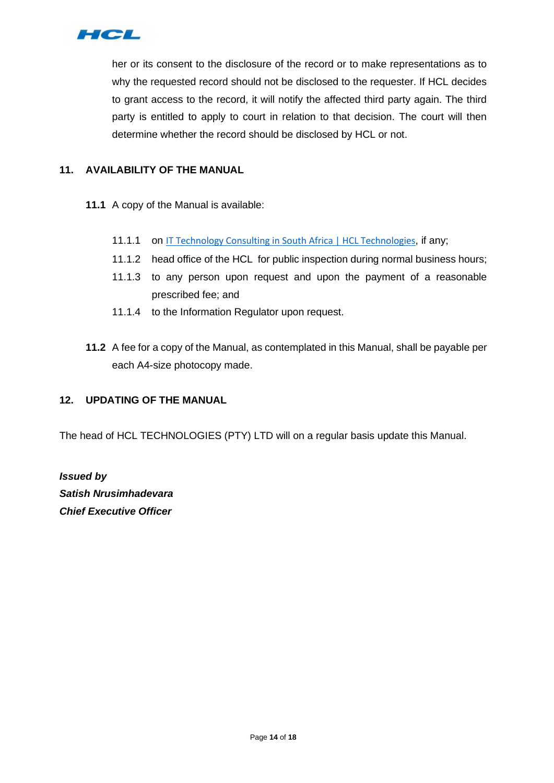

her or its consent to the disclosure of the record or to make representations as to why the requested record should not be disclosed to the requester. If HCL decides to grant access to the record, it will notify the affected third party again. The third party is entitled to apply to court in relation to that decision. The court will then determine whether the record should be disclosed by HCL or not.

## **11. AVAILABILITY OF THE MANUAL**

- **11.1** A copy of the Manual is available:
	- 11.1.1 on [IT Technology Consulting in South Africa | HCL Technologies](https://www.hcltech.com/geo-presence/africa), if any;
	- 11.1.2 head office of the HCL for public inspection during normal business hours;
	- 11.1.3 to any person upon request and upon the payment of a reasonable prescribed fee; and
	- 11.1.4 to the Information Regulator upon request.
- **11.2** A fee for a copy of the Manual, as contemplated in this Manual, shall be payable per each A4-size photocopy made.

### **12. UPDATING OF THE MANUAL**

The head of HCL TECHNOLOGIES (PTY) LTD will on a regular basis update this Manual.

*Issued by Satish Nrusimhadevara Chief Executive Officer*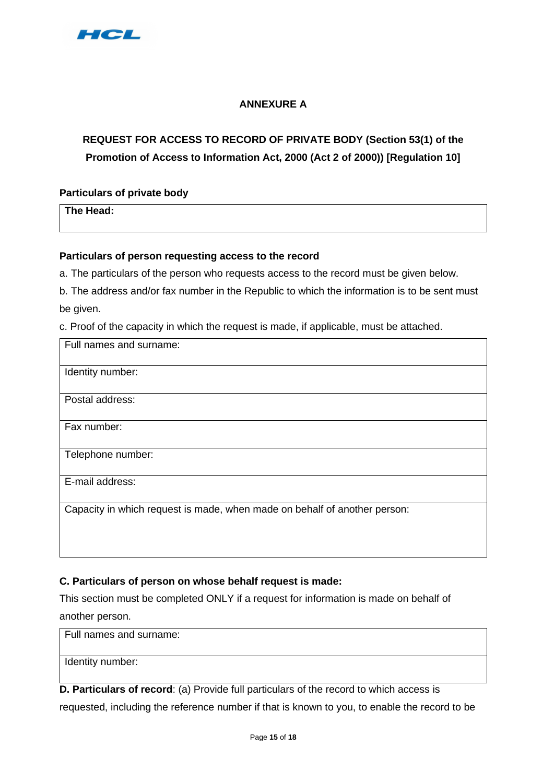

## **ANNEXURE A**

## **REQUEST FOR ACCESS TO RECORD OF PRIVATE BODY (Section 53(1) of the Promotion of Access to Information Act, 2000 (Act 2 of 2000)) [Regulation 10]**

**Particulars of private body** 

**The Head:** 

### **Particulars of person requesting access to the record**

a. The particulars of the person who requests access to the record must be given below.

b. The address and/or fax number in the Republic to which the information is to be sent must be given.

c. Proof of the capacity in which the request is made, if applicable, must be attached.

| Full names and surname:                                                   |
|---------------------------------------------------------------------------|
| Identity number:                                                          |
| Postal address:                                                           |
| Fax number:                                                               |
| Telephone number:                                                         |
| E-mail address:                                                           |
| Capacity in which request is made, when made on behalf of another person: |

## **C. Particulars of person on whose behalf request is made:**

This section must be completed ONLY if a request for information is made on behalf of another person.

| Full names and surname: |  |
|-------------------------|--|
| Identity number:        |  |

**D. Particulars of record**: (a) Provide full particulars of the record to which access is requested, including the reference number if that is known to you, to enable the record to be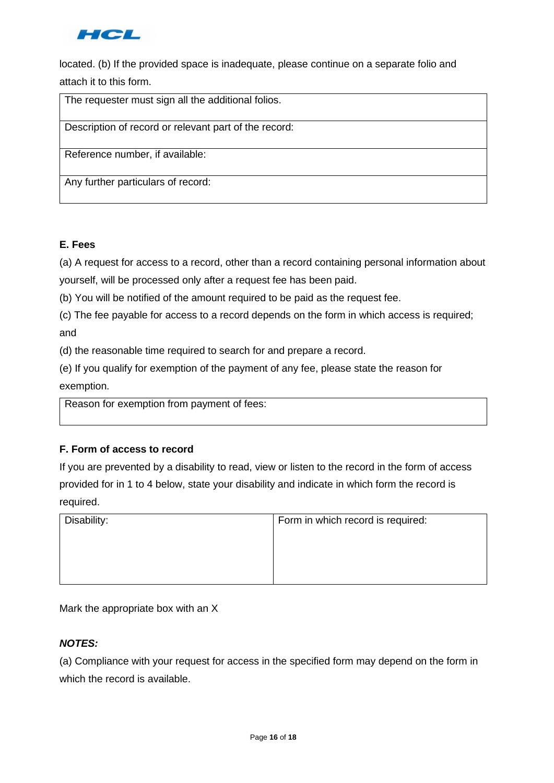

located. (b) If the provided space is inadequate, please continue on a separate folio and attach it to this form.

The requester must sign all the additional folios.

Description of record or relevant part of the record:

Reference number, if available:

Any further particulars of record:

#### **E. Fees**

(a) A request for access to a record, other than a record containing personal information about yourself, will be processed only after a request fee has been paid.

(b) You will be notified of the amount required to be paid as the request fee.

(c) The fee payable for access to a record depends on the form in which access is required; and

(d) the reasonable time required to search for and prepare a record.

(e) If you qualify for exemption of the payment of any fee, please state the reason for exemption.

Reason for exemption from payment of fees:

### **F. Form of access to record**

If you are prevented by a disability to read, view or listen to the record in the form of access provided for in 1 to 4 below, state your disability and indicate in which form the record is required.

| Disability: | Form in which record is required: |  |  |
|-------------|-----------------------------------|--|--|
|             |                                   |  |  |
|             |                                   |  |  |
|             |                                   |  |  |
|             |                                   |  |  |

Mark the appropriate box with an X

### *NOTES:*

(a) Compliance with your request for access in the specified form may depend on the form in which the record is available.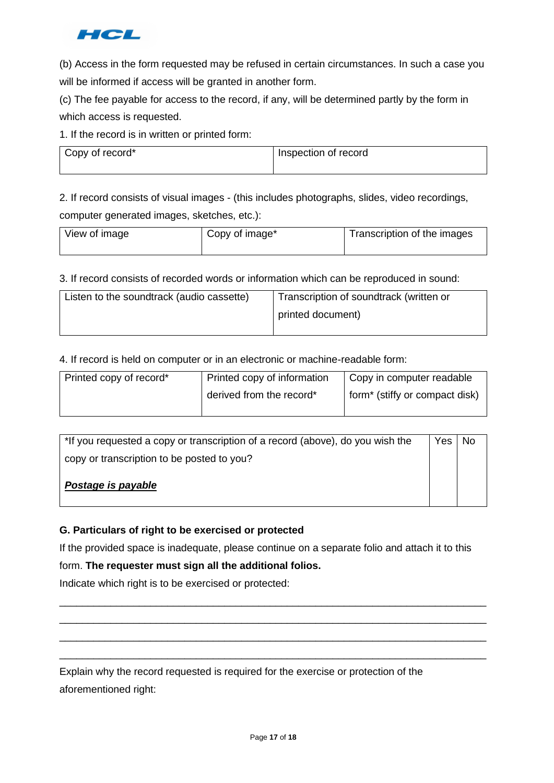

(b) Access in the form requested may be refused in certain circumstances. In such a case you will be informed if access will be granted in another form.

(c) The fee payable for access to the record, if any, will be determined partly by the form in which access is requested.

1. If the record is in written or printed form:

| Copy of record* | Inspection of record |  |
|-----------------|----------------------|--|
|                 |                      |  |

2. If record consists of visual images - (this includes photographs, slides, video recordings, computer generated images, sketches, etc.):

| View of image | Copy of image* | Transcription of the images |
|---------------|----------------|-----------------------------|
|               |                |                             |

3. If record consists of recorded words or information which can be reproduced in sound:

| Listen to the soundtrack (audio cassette) | Transcription of soundtrack (written or |  |
|-------------------------------------------|-----------------------------------------|--|
|                                           | printed document)                       |  |

4. If record is held on computer or in an electronic or machine-readable form:

| Printed copy of record* | Printed copy of information | Copy in computer readable                  |  |
|-------------------------|-----------------------------|--------------------------------------------|--|
|                         | derived from the record*    | form <sup>*</sup> (stiffy or compact disk) |  |

| *If you requested a copy or transcription of a record (above), do you wish the |  | No. |
|--------------------------------------------------------------------------------|--|-----|
| copy or transcription to be posted to you?                                     |  |     |
| Postage is payable                                                             |  |     |

## **G. Particulars of right to be exercised or protected**

If the provided space is inadequate, please continue on a separate folio and attach it to this

\_\_\_\_\_\_\_\_\_\_\_\_\_\_\_\_\_\_\_\_\_\_\_\_\_\_\_\_\_\_\_\_\_\_\_\_\_\_\_\_\_\_\_\_\_\_\_\_\_\_\_\_\_\_\_\_\_\_\_\_\_\_\_\_\_\_\_\_\_\_\_\_\_\_\_ \_\_\_\_\_\_\_\_\_\_\_\_\_\_\_\_\_\_\_\_\_\_\_\_\_\_\_\_\_\_\_\_\_\_\_\_\_\_\_\_\_\_\_\_\_\_\_\_\_\_\_\_\_\_\_\_\_\_\_\_\_\_\_\_\_\_\_\_\_\_\_\_\_\_\_ \_\_\_\_\_\_\_\_\_\_\_\_\_\_\_\_\_\_\_\_\_\_\_\_\_\_\_\_\_\_\_\_\_\_\_\_\_\_\_\_\_\_\_\_\_\_\_\_\_\_\_\_\_\_\_\_\_\_\_\_\_\_\_\_\_\_\_\_\_\_\_\_\_\_\_ \_\_\_\_\_\_\_\_\_\_\_\_\_\_\_\_\_\_\_\_\_\_\_\_\_\_\_\_\_\_\_\_\_\_\_\_\_\_\_\_\_\_\_\_\_\_\_\_\_\_\_\_\_\_\_\_\_\_\_\_\_\_\_\_\_\_\_\_\_\_\_\_\_\_\_

form. **The requester must sign all the additional folios.**

Indicate which right is to be exercised or protected:

Explain why the record requested is required for the exercise or protection of the aforementioned right: